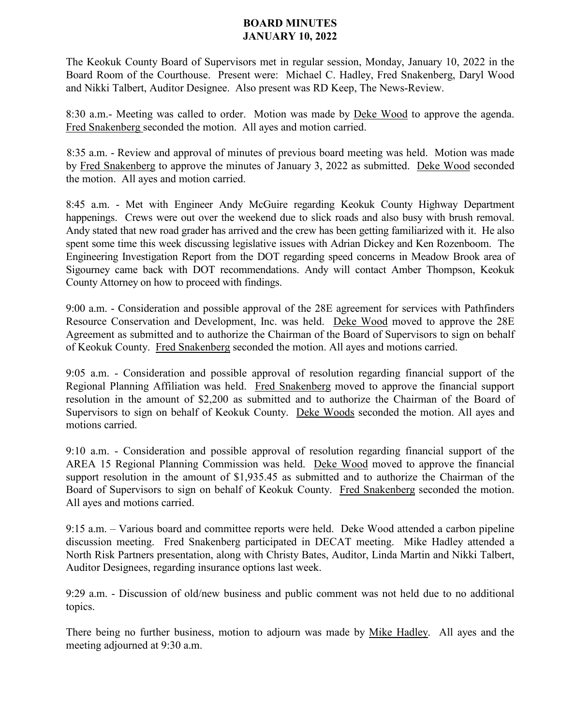## **BOARD MINUTES JANUARY 10, 2022**

The Keokuk County Board of Supervisors met in regular session, Monday, January 10, 2022 in the Board Room of the Courthouse. Present were: Michael C. Hadley, Fred Snakenberg, Daryl Wood and Nikki Talbert, Auditor Designee. Also present was RD Keep, The News-Review.

8:30 a.m.- Meeting was called to order. Motion was made by Deke Wood to approve the agenda. Fred Snakenberg seconded the motion. All ayes and motion carried.

8:35 a.m. - Review and approval of minutes of previous board meeting was held. Motion was made by Fred Snakenberg to approve the minutes of January 3, 2022 as submitted. Deke Wood seconded the motion. All ayes and motion carried.

8:45 a.m. - Met with Engineer Andy McGuire regarding Keokuk County Highway Department happenings. Crews were out over the weekend due to slick roads and also busy with brush removal. Andy stated that new road grader has arrived and the crew has been getting familiarized with it. He also spent some time this week discussing legislative issues with Adrian Dickey and Ken Rozenboom. The Engineering Investigation Report from the DOT regarding speed concerns in Meadow Brook area of Sigourney came back with DOT recommendations. Andy will contact Amber Thompson, Keokuk County Attorney on how to proceed with findings.

9:00 a.m. - Consideration and possible approval of the 28E agreement for services with Pathfinders Resource Conservation and Development, Inc. was held. Deke Wood moved to approve the 28E Agreement as submitted and to authorize the Chairman of the Board of Supervisors to sign on behalf of Keokuk County. Fred Snakenberg seconded the motion. All ayes and motions carried.

9:05 a.m. - Consideration and possible approval of resolution regarding financial support of the Regional Planning Affiliation was held. Fred Snakenberg moved to approve the financial support resolution in the amount of \$2,200 as submitted and to authorize the Chairman of the Board of Supervisors to sign on behalf of Keokuk County. Deke Woods seconded the motion. All ayes and motions carried.

9:10 a.m. - Consideration and possible approval of resolution regarding financial support of the AREA 15 Regional Planning Commission was held. Deke Wood moved to approve the financial support resolution in the amount of \$1,935.45 as submitted and to authorize the Chairman of the Board of Supervisors to sign on behalf of Keokuk County. Fred Snakenberg seconded the motion. All ayes and motions carried.

9:15 a.m. – Various board and committee reports were held. Deke Wood attended a carbon pipeline discussion meeting. Fred Snakenberg participated in DECAT meeting. Mike Hadley attended a North Risk Partners presentation, along with Christy Bates, Auditor, Linda Martin and Nikki Talbert, Auditor Designees, regarding insurance options last week.

9:29 a.m. - Discussion of old/new business and public comment was not held due to no additional topics.

There being no further business, motion to adjourn was made by Mike Hadley. All ayes and the meeting adjourned at 9:30 a.m.